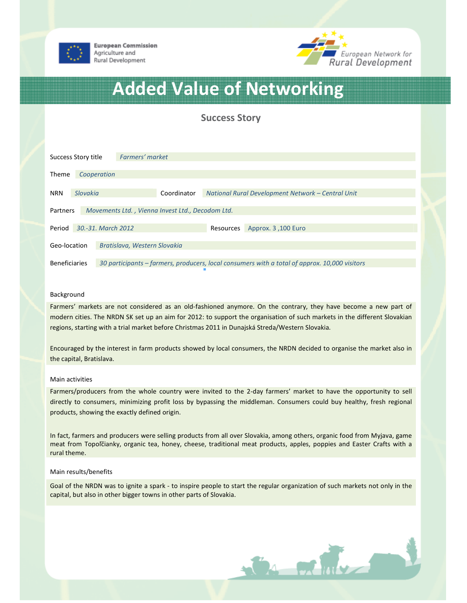

**European Commission** Agriculture and Rural Development



# Added Value of Networking

Success Story

| Success Story title                                          |                    | Farmers' market                                                                               |             |                                                   |           |                    |
|--------------------------------------------------------------|--------------------|-----------------------------------------------------------------------------------------------|-------------|---------------------------------------------------|-----------|--------------------|
| <b>Theme</b>                                                 | Cooperation        |                                                                                               |             |                                                   |           |                    |
|                                                              |                    |                                                                                               |             |                                                   |           |                    |
| <b>NRN</b>                                                   | Slovakia           |                                                                                               | Coordinator | National Rural Development Network - Central Unit |           |                    |
| Movements Ltd., Vienna Invest Ltd., Decodom Ltd.<br>Partners |                    |                                                                                               |             |                                                   |           |                    |
| Period                                                       | 30.-31. March 2012 |                                                                                               |             |                                                   | Resources | Approx. 3,100 Euro |
| Bratislava, Western Slovakia<br>Geo-location                 |                    |                                                                                               |             |                                                   |           |                    |
| <b>Beneficiaries</b>                                         |                    | 30 participants – farmers, producers, local consumers with a total of approx. 10,000 visitors |             |                                                   |           |                    |

## Background

Farmers' markets are not considered as an old-fashioned anymore. On the contrary, they have become a new part of modern cities. The NRDN SK set up an aim for 2012: to support the organisation of such markets in the different Slovakian regions, starting with a trial market before Christmas 2011 in Dunajská Streda/Western Slovakia.

Encouraged by the interest in farm products showed by local consumers, the NRDN decided to organise the market also in the capital, Bratislava.

## Main activities

Farmers/producers from the whole country were invited to the 2-day farmers' market to have the opportunity to sell directly to consumers, minimizing profit loss by bypassing the middleman. Consumers could buy healthy, fresh regional products, showing the exactly defined origin.

In fact, farmers and producers were selling products from all over Slovakia, among others, organic food from Myjava, game meat from Topoľčianky, organic tea, honey, cheese, traditional meat products, apples, poppies and Easter Crafts with a rural theme.

#### Main results/benefits

Goal of the NRDN was to ignite a spark - to inspire people to start the regular organization of such markets not only in the capital, but also in other bigger towns in other parts of Slovakia.